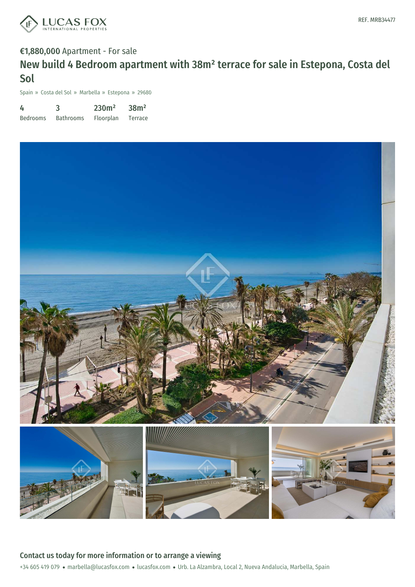

# €1,880,000 Apartment - For sale New build 4 Bedroom apartment with 38m² terrace for sale in Estepona, Costa del Sol

Spain » Costa del Sol » Marbella » Estepona » 29680

| 4               | 3                | 230m <sup>2</sup> | 38m <sup>2</sup> |
|-----------------|------------------|-------------------|------------------|
| <b>Bedrooms</b> | <b>Bathrooms</b> | Floorplan         | Terrace          |

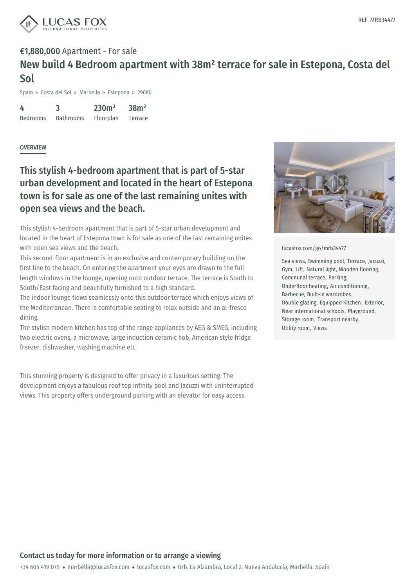

# €1,880,000 Apartment - For sale New build 4 Bedroom apartment with 38m² terrace for sale in Estepona, Costa del Sol

Spain » Costa del Sol » Marbella » Estepona » 29680

4 Bedrooms 3 Bathrooms 230m² Floorplan 38m² Terrace

### **OVERVIEW**

## This stylish 4-bedroom apartment that is part of 5-star urban development and located in the heart of Estepona town is for sale as one of the last remaining unites with open sea views and the beach.

This stylish 4-bedroom apartment that is part of 5-star urban development and located in the heart of Estepona town is for sale as one of the last remaining unites with open sea views and the beach.

This second-floor apartment is in an exclusive and contemporary building on the first line to the beach. On entering the apartment your eyes are drawn to the fulllength windows in the lounge, opening onto outdoor terrace. The terrace is South to South/East facing and beautifully furnished to a high standard.

The indoor lounge flows seamlessly onto this outdoor terrace which enjoys views of the Mediterranean. There is comfortable seating to relax outside and an al-fresco dining.

The stylish modern kitchen has top of the range appliances by AEG & SMEG, including two electric ovens, a microwave, large induction ceramic hob, American style fridge freezer, dishwasher, washing machine etc.

This stunning property is designed to offer privacy in a luxurious setting. The development enjoys a fabulous roof top infinity pool and Jacuzzi with uninterrupted views. This property offers underground parking with an elevator for easy access.



#### [lucasfox.com/go/mrb34477](https://www.lucasfox.com/go/mrb34477)

Sea views, Swimming pool, Terrace, Jacuzzi, Gym, Lift, Natural light, Wooden flooring, Communal terrace, Parking, Underfloor heating, Air conditioning, Barbecue, Built-in wardrobes, Double glazing, Equipped Kitchen, Exterior, Near international schools, Playground, Storage room, Transport nearby, Utility room, Views